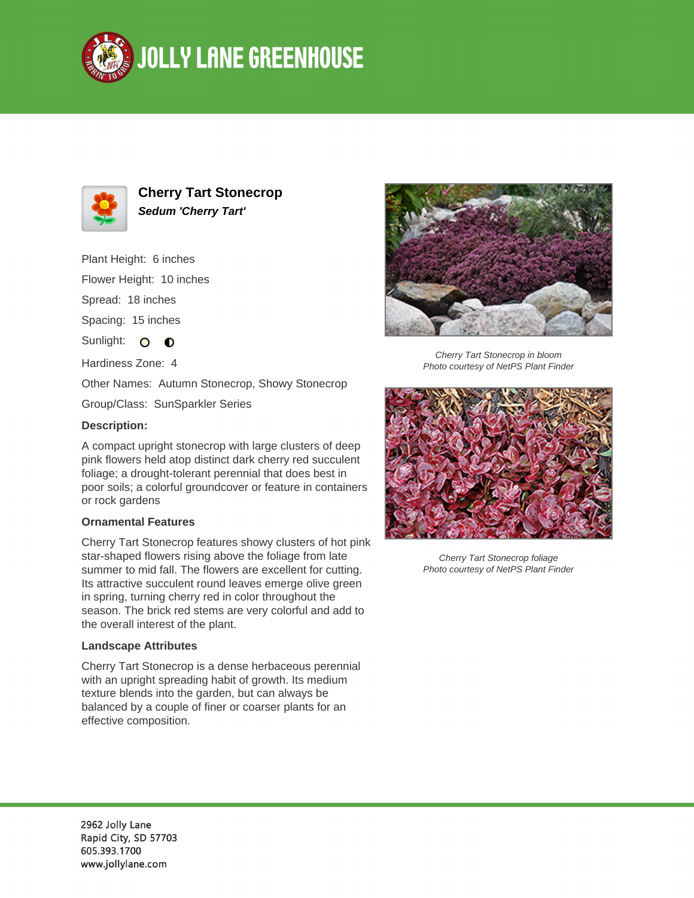



**Cherry Tart Stonecrop Sedum 'Cherry Tart'**

Plant Height: 6 inches Flower Height: 10 inches Spread: 18 inches Spacing: 15 inches Sunlight: O  $\bullet$ Hardiness Zone: 4 Other Names: Autumn Stonecrop, Showy Stonecrop Group/Class: SunSparkler Series

## **Description:**

A compact upright stonecrop with large clusters of deep pink flowers held atop distinct dark cherry red succulent foliage; a drought-tolerant perennial that does best in poor soils; a colorful groundcover or feature in containers or rock gardens

## **Ornamental Features**

Cherry Tart Stonecrop features showy clusters of hot pink star-shaped flowers rising above the foliage from late summer to mid fall. The flowers are excellent for cutting. Its attractive succulent round leaves emerge olive green in spring, turning cherry red in color throughout the season. The brick red stems are very colorful and add to the overall interest of the plant.

## **Landscape Attributes**

Cherry Tart Stonecrop is a dense herbaceous perennial with an upright spreading habit of growth. Its medium texture blends into the garden, but can always be balanced by a couple of finer or coarser plants for an effective composition.



Cherry Tart Stonecrop in bloom Photo courtesy of NetPS Plant Finder



Cherry Tart Stonecrop foliage Photo courtesy of NetPS Plant Finder

2962 Jolly Lane Rapid City, SD 57703 605.393.1700 www.jollylane.com